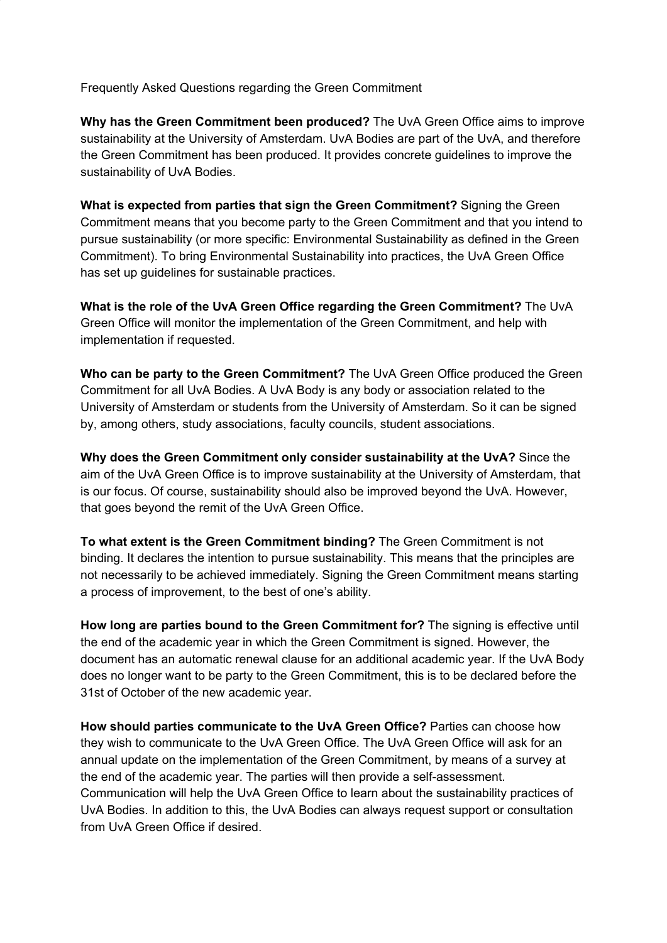Frequently Asked Questions regarding the Green Commitment

**Why has the Green Commitment been produced?** The UvA Green Office aims to improve sustainability at the University of Amsterdam. UvA Bodies are part of the UvA, and therefore the Green Commitment has been produced. It provides concrete guidelines to improve the sustainability of UvA Bodies.

**What is expected from parties that sign the Green Commitment?** Signing the Green Commitment means that you become party to the Green Commitment and that you intend to pursue sustainability (or more specific: Environmental Sustainability as defined in the Green Commitment). To bring Environmental Sustainability into practices, the UvA Green Office has set up guidelines for sustainable practices.

**What is the role of the UvA Green Office regarding the Green Commitment?** The UvA Green Office will monitor the implementation of the Green Commitment, and help with implementation if requested.

**Who can be party to the Green Commitment?** The UvA Green Office produced the Green Commitment for all UvA Bodies. A UvA Body is any body or association related to the University of Amsterdam or students from the University of Amsterdam. So it can be signed by, among others, study associations, faculty councils, student associations.

**Why does the Green Commitment only consider sustainability at the UvA?** Since the aim of the UvA Green Office is to improve sustainability at the University of Amsterdam, that is our focus. Of course, sustainability should also be improved beyond the UvA. However, that goes beyond the remit of the UvA Green Office.

**To what extent is the Green Commitment binding?** The Green Commitment is not binding. It declares the intention to pursue sustainability. This means that the principles are not necessarily to be achieved immediately. Signing the Green Commitment means starting a process of improvement, to the best of one's ability.

**How long are parties bound to the Green Commitment for?** The signing is effective until the end of the academic year in which the Green Commitment is signed. However, the document has an automatic renewal clause for an additional academic year. If the UvA Body does no longer want to be party to the Green Commitment, this is to be declared before the 31st of October of the new academic year.

**How should parties communicate to the UvA Green Office?** Parties can choose how they wish to communicate to the UvA Green Office. The UvA Green Office will ask for an annual update on the implementation of the Green Commitment, by means of a survey at the end of the academic year. The parties will then provide a self-assessment. Communication will help the UvA Green Office to learn about the sustainability practices of UvA Bodies. In addition to this, the UvA Bodies can always request support or consultation from UvA Green Office if desired.